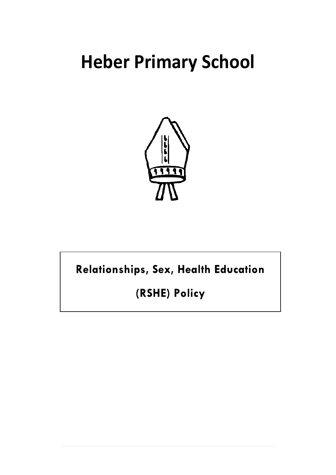# **Heber Primary School**



Relationships, Sex, Health Education

(RSHE) Policy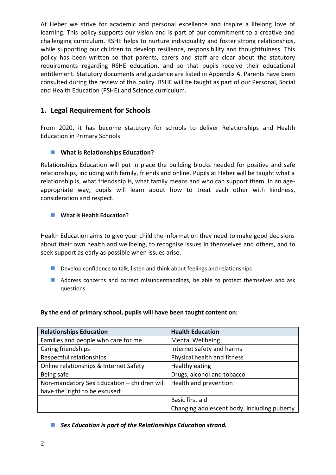At Heber we strive for academic and personal excellence and inspire a lifelong love of learning. This policy supports our vision and is part of our commitment to a creative and challenging curriculum. RSHE helps to nurture individuality and foster strong relationships, while supporting our children to develop resilience, responsibility and thoughtfulness. This policy has been written so that parents, carers and staff are clear about the statutory requirements regarding RSHE education, and so that pupils receive their educational entitlement. Statutory documents and guidance are listed in Appendix A. Parents have been consulted during the review of this policy. RSHE will be taught as part of our Personal, Social and Health Education (PSHE) and Science curriculum.

# **1. Legal Requirement for Schools**

From 2020, it has become statutory for schools to deliver Relationships and Health Education in Primary Schools.

#### **What is Relationships Education?**

Relationships Education will put in place the building blocks needed for positive and safe relationships, including with family, friends and online. Pupils at Heber will be taught what a relationship is, what friendship is, what family means and who can support them. In an ageappropriate way, pupils will learn about how to treat each other with kindness, consideration and respect.

#### **What is Health Education?**

Health Education aims to give your child the information they need to make good decisions about their own health and wellbeing, to recognise issues in themselves and others, and to seek support as early as possible when issues arise.

- Develop confidence to talk, listen and think about feelings and relationships
- **Address concerns and correct misunderstandings, be able to protect themselves and ask** questions

#### **By the end of primary school, pupils will have been taught content on:**

| <b>Relationships Education</b>              | <b>Health Education</b>                     |
|---------------------------------------------|---------------------------------------------|
| Families and people who care for me         | <b>Mental Wellbeing</b>                     |
| Caring friendships                          | Internet safety and harms                   |
| Respectful relationships                    | Physical health and fitness                 |
| Online relationships & Internet Safety      | Healthy eating                              |
| Being safe                                  | Drugs, alcohol and tobacco                  |
| Non-mandatory Sex Education - children will | Health and prevention                       |
| have the 'right to be excused'              |                                             |
|                                             | Basic first aid                             |
|                                             | Changing adolescent body, including puberty |

*Sex Education is part of the Relationships Education strand.*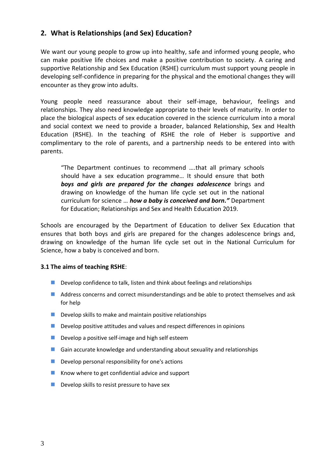# **2. What is Relationships (and Sex) Education?**

We want our young people to grow up into healthy, safe and informed young people, who can make positive life choices and make a positive contribution to society. A caring and supportive Relationship and Sex Education (RSHE) curriculum must support young people in developing self-confidence in preparing for the physical and the emotional changes they will encounter as they grow into adults.

Young people need reassurance about their self-image, behaviour, feelings and relationships. They also need knowledge appropriate to their levels of maturity. In order to place the biological aspects of sex education covered in the science curriculum into a moral and social context we need to provide a broader, balanced Relationship, Sex and Health Education (RSHE). In the teaching of RSHE the role of Heber is supportive and complimentary to the role of parents, and a partnership needs to be entered into with parents.

"The Department continues to recommend ….that all primary schools should have a sex education programme… It should ensure that both *boys and girls are prepared for the changes adolescence* brings and drawing on knowledge of the human life cycle set out in the national curriculum for science … *how a baby is conceived and born."* Department for Education; Relationships and Sex and Health Education 2019.

Schools are encouraged by the Department of Education to deliver Sex Education that ensures that both boys and girls are prepared for the changes adolescence brings and, drawing on knowledge of the human life cycle set out in the National Curriculum for Science, how a baby is conceived and born.

#### **3.1 The aims of teaching RSHE**:

- Develop confidence to talk, listen and think about feelings and relationships
- Address concerns and correct misunderstandings and be able to protect themselves and ask for help
- $\blacksquare$  Develop skills to make and maintain positive relationships
- $\blacksquare$  Develop positive attitudes and values and respect differences in opinions
- Develop a positive self-image and high self esteem
- Gain accurate knowledge and understanding about sexuality and relationships
- $\blacksquare$  Develop personal responsibility for one's actions
- $\blacksquare$  Know where to get confidential advice and support
- $\blacksquare$  Develop skills to resist pressure to have sex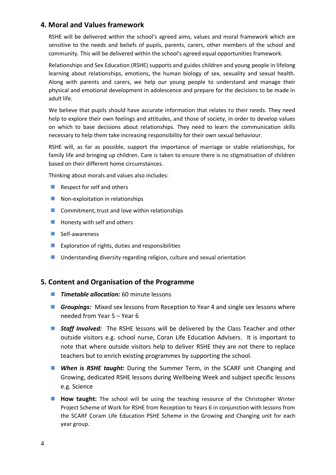#### **4. Moral and Values framework**

RSHE will be delivered within the school's agreed aims, values and moral framework which are sensitive to the needs and beliefs of pupils, parents, carers, other members of the school and community. This will be delivered within the school's agreed equal opportunities framework.

Relationships and Sex Education (RSHE) supports and guides children and young people in lifelong learning about relationships, emotions, the human biology of sex, sexuality and sexual health. Along with parents and carers, we help our young people to understand and manage their physical and emotional development in adolescence and prepare for the decisions to be made in adult life.

We believe that pupils should have accurate information that relates to their needs. They need help to explore their own feelings and attitudes, and those of society, in order to develop values on which to base decisions about relationships. They need to learn the communication skills necessary to help them take increasing responsibility for their own sexual behaviour.

RSHE will, as far as possible, support the importance of marriage or stable relationships, for family life and bringing up children. Care is taken to ensure there is no stigmatisation of children based on their different home circumstances.

Thinking about morals and values also includes:

- Respect for self and others
- Non-exploitation in relationships
- $\blacksquare$  Commitment, trust and love within relationships
- $\blacksquare$  Honesty with self and others
- $\blacksquare$  Self-awareness
- **EXPLORATION CONTERNATION** Exploration of rights, duties and responsibilities
- **Understanding diversity regarding religion, culture and sexual orientation**

#### **5. Content and Organisation of the Programme**

- **Timetable allocation:** 60 minute lessons
- **Groupings:** Mixed sex lessons from Reception to Year 4 and single sex lessons where needed from Year 5 – Year 6
- **Staff Involved:** The RSHE lessons will be delivered by the Class Teacher and other outside visitors e.g. school nurse, Coran Life Education Advisers. It is important to note that where outside visitors help to deliver RSHE they are not there to replace teachers but to enrich existing programmes by supporting the school.
- *When is RSHE taught:* During the Summer Term, in the SCARF unit Changing and Growing, dedicated RSHE lessons during Wellbeing Week and subject specific lessons e.g. Science
- **How taught:** The school will be using the teaching resource of the Christopher Winter Project Scheme of Work for RSHE from Reception to Years 6 in conjunction with lessons from the SCARF Coram Life Education PSHE Scheme in the Growing and Changing unit for each year group.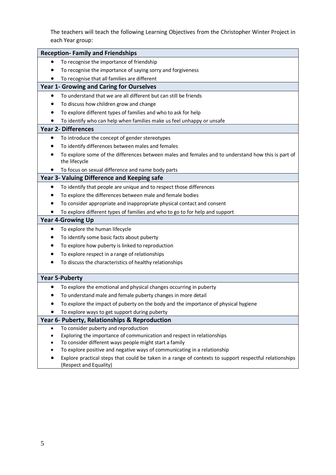The teachers will teach the following Learning Objectives from the Christopher Winter Project in each Year group:

| <b>Reception-Family and Friendships</b>                                                                                            |  |  |  |
|------------------------------------------------------------------------------------------------------------------------------------|--|--|--|
| To recognise the importance of friendship                                                                                          |  |  |  |
| To recognise the importance of saying sorry and forgiveness                                                                        |  |  |  |
| To recognise that all families are different                                                                                       |  |  |  |
| Year 1- Growing and Caring for Ourselves                                                                                           |  |  |  |
| To understand that we are all different but can still be friends<br>$\bullet$                                                      |  |  |  |
| To discuss how children grow and change                                                                                            |  |  |  |
| To explore different types of families and who to ask for help                                                                     |  |  |  |
| To identify who can help when families make us feel unhappy or unsafe                                                              |  |  |  |
| <b>Year 2- Differences</b>                                                                                                         |  |  |  |
| To introduce the concept of gender stereotypes                                                                                     |  |  |  |
| To identify differences between males and females                                                                                  |  |  |  |
| To explore some of the differences between males and females and to understand how this is part of<br>the lifecycle                |  |  |  |
| To focus on sexual difference and name body parts                                                                                  |  |  |  |
| Year 3- Valuing Difference and Keeping safe                                                                                        |  |  |  |
| To identify that people are unique and to respect those differences                                                                |  |  |  |
| To explore the differences between male and female bodies                                                                          |  |  |  |
| To consider appropriate and inappropriate physical contact and consent                                                             |  |  |  |
| To explore different types of families and who to go to for help and support                                                       |  |  |  |
| <b>Year 4-Growing Up</b>                                                                                                           |  |  |  |
| To explore the human lifecycle                                                                                                     |  |  |  |
| To identify some basic facts about puberty                                                                                         |  |  |  |
| To explore how puberty is linked to reproduction                                                                                   |  |  |  |
| To explore respect in a range of relationships                                                                                     |  |  |  |
| To discuss the characteristics of healthy relationships                                                                            |  |  |  |
| <b>Year 5-Puberty</b>                                                                                                              |  |  |  |
| To explore the emotional and physical changes occurring in puberty                                                                 |  |  |  |
| To understand male and female puberty changes in more detail                                                                       |  |  |  |
| To explore the impact of puberty on the body and the importance of physical hygiene                                                |  |  |  |
| To explore ways to get support during puberty                                                                                      |  |  |  |
| Year 6- Puberty, Relationships & Reproduction                                                                                      |  |  |  |
| To consider puberty and reproduction<br>$\bullet$                                                                                  |  |  |  |
| Exploring the importance of communication and respect in relationships                                                             |  |  |  |
| To consider different ways people might start a family<br>To explore positive and negative ways of communicating in a relationship |  |  |  |
|                                                                                                                                    |  |  |  |
| Explore practical steps that could be taken in a range of contexts to support respectful relationships<br>(Respect and Equality)   |  |  |  |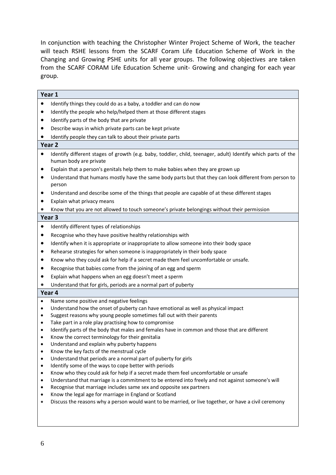In conjunction with teaching the Christopher Winter Project Scheme of Work, the teacher will teach RSHE lessons from the SCARF Coram Life Education Scheme of Work in the Changing and Growing PSHE units for all year groups. The following objectives are taken from the SCARF CORAM Life Education Scheme unit- Growing and changing for each year group.

|                   | Year 1                                                                                                                                 |  |  |
|-------------------|----------------------------------------------------------------------------------------------------------------------------------------|--|--|
| $\bullet$         | Identify things they could do as a baby, a toddler and can do now                                                                      |  |  |
| $\bullet$         | Identify the people who help/helped them at those different stages                                                                     |  |  |
|                   | Identify parts of the body that are private                                                                                            |  |  |
|                   | Describe ways in which private parts can be kept private                                                                               |  |  |
|                   | Identify people they can talk to about their private parts                                                                             |  |  |
| Year <sub>2</sub> |                                                                                                                                        |  |  |
| $\bullet$         | Identify different stages of growth (e.g. baby, toddler, child, teenager, adult) Identify which parts of the<br>human body are private |  |  |
| $\bullet$         | Explain that a person's genitals help them to make babies when they are grown up                                                       |  |  |
|                   | Understand that humans mostly have the same body parts but that they can look different from person to<br>person                       |  |  |
| ٠                 | Understand and describe some of the things that people are capable of at these different stages                                        |  |  |
|                   | Explain what privacy means                                                                                                             |  |  |
| $\bullet$         | Know that you are not allowed to touch someone's private belongings without their permission                                           |  |  |
| Year <sub>3</sub> |                                                                                                                                        |  |  |
| $\bullet$         | Identify different types of relationships                                                                                              |  |  |
| ٠                 | Recognise who they have positive healthy relationships with                                                                            |  |  |
| ٠                 | Identify when it is appropriate or inappropriate to allow someone into their body space                                                |  |  |
| ٠                 | Rehearse strategies for when someone is inappropriately in their body space                                                            |  |  |
|                   | Know who they could ask for help if a secret made them feel uncomfortable or unsafe.                                                   |  |  |
|                   | Recognise that babies come from the joining of an egg and sperm                                                                        |  |  |
|                   | Explain what happens when an egg doesn't meet a sperm                                                                                  |  |  |
| $\bullet$         | Understand that for girls, periods are a normal part of puberty                                                                        |  |  |
|                   | Year 4                                                                                                                                 |  |  |
| $\bullet$         | Name some positive and negative feelings                                                                                               |  |  |
| $\bullet$         | Understand how the onset of puberty can have emotional as well as physical impact                                                      |  |  |
| ٠                 | Suggest reasons why young people sometimes fall out with their parents<br>٠<br>Take part in a role play practising how to compromise   |  |  |
|                   | Identify parts of the body that males and females have in common and those that are different                                          |  |  |
| $\bullet$         | Know the correct terminology for their genitalia                                                                                       |  |  |
|                   | Understand and explain why puberty happens                                                                                             |  |  |
| ٠                 | Know the key facts of the menstrual cycle                                                                                              |  |  |
| $\bullet$         | Understand that periods are a normal part of puberty for girls                                                                         |  |  |
| $\bullet$         | Identify some of the ways to cope better with periods                                                                                  |  |  |
| ٠                 | Know who they could ask for help if a secret made them feel uncomfortable or unsafe                                                    |  |  |
| $\bullet$         | Understand that marriage is a commitment to be entered into freely and not against someone's will                                      |  |  |
| ٠<br>٠            | Recognise that marriage includes same sex and opposite sex partners<br>Know the legal age for marriage in England or Scotland          |  |  |
| $\bullet$         | Discuss the reasons why a person would want to be married, or live together, or have a civil ceremony                                  |  |  |
|                   |                                                                                                                                        |  |  |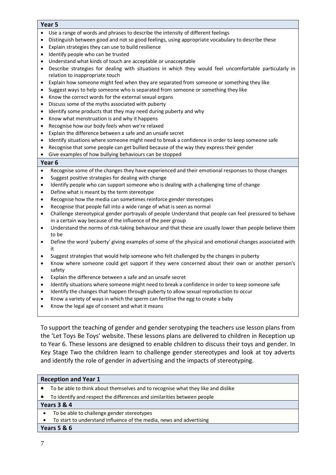#### **Year 5**

- Use a range of words and phrases to describe the intensity of different feelings
- Distinguish between good and not so good feelings, using appropriate vocabulary to describe these
- Explain strategies they can use to build resilience
- Identify people who can be trusted
- Understand what kinds of touch are acceptable or unacceptable
- Describe strategies for dealing with situations in which they would feel uncomfortable particularly in relation to inappropriate touch
- Explain how someone might feel when they are separated from someone or something they like
- Suggest ways to help someone who is separated from someone or something they like
- Know the correct words for the external sexual organs
- Discuss some of the myths associated with puberty
- Identify some products that they may need during puberty and why
- Know what menstruation is and why it happens
- Recognise how our body feels when we're relaxed
- Explain the difference between a safe and an unsafe secret
- Identify situations where someone might need to break a confidence in order to keep someone safe
- Recognise that some people can get bullied because of the way they express their gender
- Give examples of how bullying behaviours can be stopped

#### **Year 6**

- Recognise some of the changes they have experienced and their emotional responses to those changes
- Suggest positive strategies for dealing with change
- Identify people who can support someone who is dealing with a challenging time of change
- Define what is meant by the term stereotype
- Recognise how the media can sometimes reinforce gender stereotypes
- Recognise that people fall into a wide range of what is seen as normal
- Challenge stereotypical gender portrayals of people Understand that people can feel pressured to behave in a certain way because of the influence of the peer group
- Understand the norms of risk-taking behaviour and that these are usually lower than people believe them to be
- Define the word 'puberty' giving examples of some of the physical and emotional changes associated with it
- Suggest strategies that would help someone who felt challenged by the changes in puberty
- Know where someone could get support if they were concerned about their own or another person's safety
- Explain the difference between a safe and an unsafe secret
- Identify situations where someone might need to break a confidence in order to keep someone safe
- Identify the changes that happen through puberty to allow sexual reproduction to occur
- Know a variety of ways in which the sperm can fertilise the egg to create a baby
- Know the legal age of consent and what it means

To support the teaching of gender and gender serotyping the teachers use lesson plans from the 'Let Toys Be Toys' website. These lessons plans are delivered to children in Reception up to Year 6. These lessons are designed to enable children to discuss their toys and gender. In Key Stage Two the children learn to challenge gender stereotypes and look at toy adverts and identify the role of gender in advertising and the impacts of stereotyping.

#### **Reception and Year 1**  To be able to think about themselves and to recognise what they like and dislike To identify and respect the differences and similarities between people **Years 3 & 4**

- To be able to challenge gender stereotypes
- To start to understand influence of the media, news and advertising

#### **Years 5 & 6**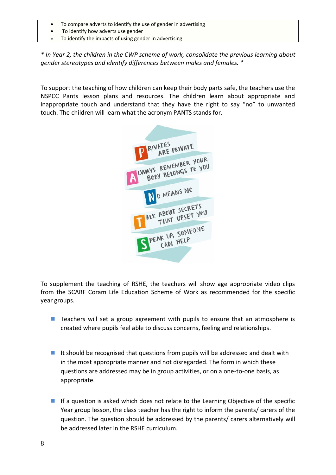- To compare adverts to identify the use of gender in advertising
- To identify how adverts use gender
- To identify the impacts of using gender in advertising

*\* In Year 2, the children in the CWP scheme of work, consolidate the previous learning about gender stereotypes and identify differences between males and females. \**

To support the teaching of how children can keep their body parts safe, the teachers use the NSPCC Pants lesson plans and resources. The children learn about appropriate and inappropriate touch and understand that they have the right to say "no" to unwanted touch. The children will learn what the acronym PANTS stands for.



To supplement the teaching of RSHE, the teachers will show age appropriate video clips from the SCARF Coram Life Education Scheme of Work as recommended for the specific year groups.

- Teachers will set a group agreement with pupils to ensure that an atmosphere is created where pupils feel able to discuss concerns, feeling and relationships.
- It should be recognised that questions from pupils will be addressed and dealt with in the most appropriate manner and not disregarded. The form in which these questions are addressed may be in group activities, or on a one-to-one basis, as appropriate.
- If a question is asked which does not relate to the Learning Objective of the specific Year group lesson, the class teacher has the right to inform the parents/ carers of the question. The question should be addressed by the parents/ carers alternatively will be addressed later in the RSHE curriculum.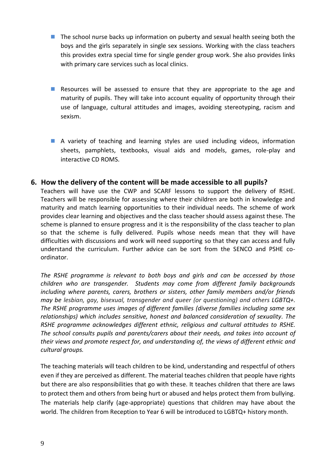- $\blacksquare$  The school nurse backs up information on puberty and sexual health seeing both the boys and the girls separately in single sex sessions. Working with the class teachers this provides extra special time for single gender group work. She also provides links with primary care services such as local clinics.
- Resources will be assessed to ensure that they are appropriate to the age and maturity of pupils. They will take into account equality of opportunity through their use of language, cultural attitudes and images, avoiding stereotyping, racism and sexism.
- A variety of teaching and learning styles are used including videos, information sheets, pamphlets, textbooks, visual aids and models, games, role-play and interactive CD ROMS.

## **6. How the delivery of the content will be made accessible to all pupils?**

Teachers will have use the CWP and SCARF lessons to support the delivery of RSHE. Teachers will be responsible for assessing where their children are both in knowledge and maturity and match learning opportunities to their individual needs. The scheme of work provides clear learning and objectives and the class teacher should assess against these. The scheme is planned to ensure progress and it is the responsibility of the class teacher to plan so that the scheme is fully delivered. Pupils whose needs mean that they will have difficulties with discussions and work will need supporting so that they can access and fully understand the curriculum. Further advice can be sort from the SENCO and PSHE coordinator.

*The RSHE programme is relevant to both boys and girls and can be accessed by those children who are transgender. Students may come from different family backgrounds including where parents, carers, brothers or sisters, other family members and/or friends may be lesbian, gay, bisexual, transgender and queer (or questioning) and others LGBTQ+. The RSHE programme uses images of different families (diverse families including same sex relationships) which includes sensitive, honest and balanced consideration of sexuality. The RSHE programme acknowledges different ethnic, religious and cultural attitudes to RSHE. The school consults pupils and parents/carers about their needs, and takes into account of their views and promote respect for, and understanding of, the views of different ethnic and cultural groups.* 

The teaching materials will teach children to be kind, understanding and respectful of others even if they are perceived as different. The material teaches children that people have rights but there are also responsibilities that go with these. It teaches children that there are laws to protect them and others from being hurt or abused and helps protect them from bullying. The materials help clarify (age-appropriate) questions that children may have about the world. The children from Reception to Year 6 will be introduced to LGBTQ+ history month.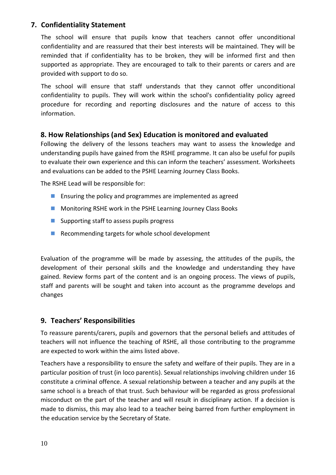# **7. Confidentiality Statement**

The school will ensure that pupils know that teachers cannot offer unconditional confidentiality and are reassured that their best interests will be maintained. They will be reminded that if confidentiality has to be broken, they will be informed first and then supported as appropriate. They are encouraged to talk to their parents or carers and are provided with support to do so.

The school will ensure that staff understands that they cannot offer unconditional confidentiality to pupils. They will work within the school's confidentiality policy agreed procedure for recording and reporting disclosures and the nature of access to this information.

# **8. How Relationships (and Sex) Education is monitored and evaluated**

Following the delivery of the lessons teachers may want to assess the knowledge and understanding pupils have gained from the RSHE programme. It can also be useful for pupils to evaluate their own experience and this can inform the teachers' assessment. Worksheets and evaluations can be added to the PSHE Learning Journey Class Books.

The RSHE Lead will be responsible for:

- **Ensuring the policy and programmes are implemented as agreed**
- **Monitoring RSHE work in the PSHE Learning Journey Class Books**
- **Supporting staff to assess pupils progress**
- Recommending targets for whole school development

Evaluation of the programme will be made by assessing, the attitudes of the pupils, the development of their personal skills and the knowledge and understanding they have gained. Review forms part of the content and is an ongoing process. The views of pupils, staff and parents will be sought and taken into account as the programme develops and changes

# **9. Teachers' Responsibilities**

To reassure parents/carers, pupils and governors that the personal beliefs and attitudes of teachers will not influence the teaching of RSHE, all those contributing to the programme are expected to work within the aims listed above.

Teachers have a responsibility to ensure the safety and welfare of their pupils. They are in a particular position of trust (in loco parentis). Sexual relationships involving children under 16 constitute a criminal offence. A sexual relationship between a teacher and any pupils at the same school is a breach of that trust. Such behaviour will be regarded as gross professional misconduct on the part of the teacher and will result in disciplinary action. If a decision is made to dismiss, this may also lead to a teacher being barred from further employment in the education service by the Secretary of State.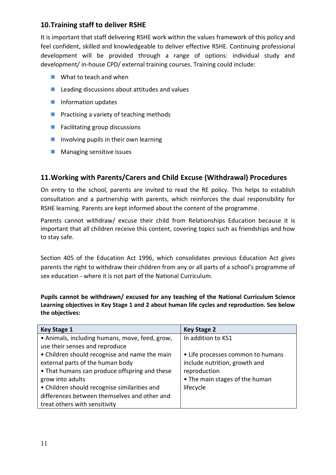# **10.Training staff to deliver RSHE**

It is important that staff delivering RSHE work within the values framework of this policy and feel confident, skilled and knowledgeable to deliver effective RSHE. Continuing professional development will be provided through a range of options: individual study and development/ in-house CPD/ external training courses. Training could include:

- What to teach and when
- **Leading discussions about attitudes and values**
- **Information updates**
- **Practising a variety of teaching methods**
- **Facilitating group discussions**
- **Involving pupils in their own learning**
- **Managing sensitive issues**

# **11.Working with Parents/Carers and Child Excuse (Withdrawal) Procedures**

On entry to the school, parents are invited to read the RE policy. This helps to establish consultation and a partnership with parents, which reinforces the dual responsibility for RSHE learning. Parents are kept informed about the content of the programme.

Parents cannot withdraw/ excuse their child from Relationships Education because it is important that all children receive this content, covering topics such as friendships and how to stay safe.

Section 405 of the Education Act 1996, which consolidates previous Education Act gives parents the right to withdraw their children from any or all parts of a school's programme of sex education - where it is not part of the National Curriculum.

**Pupils cannot be withdrawn/ excused for any teaching of the National Curriculum Science Learning objectives in Key Stage 1 and 2 about human life cycles and reproduction. See below the objectives:** 

| <b>Key Stage 1</b>                             | <b>Key Stage 2</b>                |
|------------------------------------------------|-----------------------------------|
| • Animals, including humans, move, feed, grow, | In addition to KS1                |
| use their senses and reproduce                 |                                   |
| • Children should recognise and name the main  | • Life processes common to humans |
| external parts of the human body               | include nutrition, growth and     |
| • That humans can produce offspring and these  | reproduction                      |
| grow into adults                               | • The main stages of the human    |
| • Children should recognise similarities and   | lifecycle                         |
| differences between themselves and other and   |                                   |
| treat others with sensitivity                  |                                   |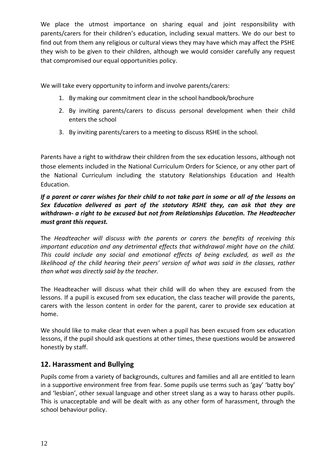We place the utmost importance on sharing equal and joint responsibility with parents/carers for their children's education, including sexual matters. We do our best to find out from them any religious or cultural views they may have which may affect the PSHE they wish to be given to their children, although we would consider carefully any request that compromised our equal opportunities policy.

We will take every opportunity to inform and involve parents/carers:

- 1. By making our commitment clear in the school handbook/brochure
- 2. By inviting parents/carers to discuss personal development when their child enters the school
- 3. By inviting parents/carers to a meeting to discuss RSHE in the school.

Parents have a right to withdraw their children from the sex education lessons, although not those elements included in the National Curriculum Orders for Science, or any other part of the National Curriculum including the statutory Relationships Education and Health Education.

#### *If a parent or carer wishes for their child to not take part in some or all of the lessons on Sex Education delivered as part of the statutory RSHE they, can ask that they are withdrawn- a right to be excused but not from Relationships Education. The Headteacher must grant this request.*

The *Headteacher will discuss with the parents or carers the benefits of receiving this important education and any detrimental effects that withdrawal might have on the child. This could include any social and emotional effects of being excluded, as well as the likelihood of the child hearing their peers' version of what was said in the classes, rather than what was directly said by the teacher.* 

The Headteacher will discuss what their child will do when they are excused from the lessons. If a pupil is excused from sex education, the class teacher will provide the parents, carers with the lesson content in order for the parent, carer to provide sex education at home.

We should like to make clear that even when a pupil has been excused from sex education lessons, if the pupil should ask questions at other times, these questions would be answered honestly by staff.

# **12. Harassment and Bullying**

Pupils come from a variety of backgrounds, cultures and families and all are entitled to learn in a supportive environment free from fear. Some pupils use terms such as 'gay' 'batty boy' and 'lesbian', other sexual language and other street slang as a way to harass other pupils. This is unacceptable and will be dealt with as any other form of harassment, through the school behaviour policy.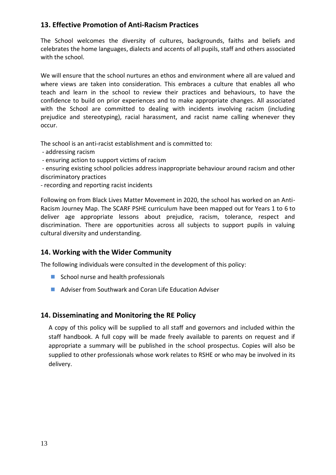# **13. Effective Promotion of Anti-Racism Practices**

The School welcomes the diversity of cultures, backgrounds, faiths and beliefs and celebrates the home languages, dialects and accents of all pupils, staff and others associated with the school.

We will ensure that the school nurtures an ethos and environment where all are valued and where views are taken into consideration. This embraces a culture that enables all who teach and learn in the school to review their practices and behaviours, to have the confidence to build on prior experiences and to make appropriate changes. All associated with the School are committed to dealing with incidents involving racism (including prejudice and stereotyping), racial harassment, and racist name calling whenever they occur.

The school is an anti-racist establishment and is committed to:

- addressing racism
- ensuring action to support victims of racism

- ensuring existing school policies address inappropriate behaviour around racism and other discriminatory practices

- recording and reporting racist incidents

Following on from Black Lives Matter Movement in 2020, the school has worked on an Anti-Racism Journey Map. The SCARF PSHE curriculum have been mapped out for Years 1 to 6 to deliver age appropriate lessons about prejudice, racism, tolerance, respect and discrimination. There are opportunities across all subjects to support pupils in valuing cultural diversity and understanding.

# **14. Working with the Wider Community**

The following individuals were consulted in the development of this policy:

- School nurse and health professionals
- Adviser from Southwark and Coran Life Education Adviser

# **14. Disseminating and Monitoring the RE Policy**

A copy of this policy will be supplied to all staff and governors and included within the staff handbook. A full copy will be made freely available to parents on request and if appropriate a summary will be published in the school prospectus. Copies will also be supplied to other professionals whose work relates to RSHE or who may be involved in its delivery.